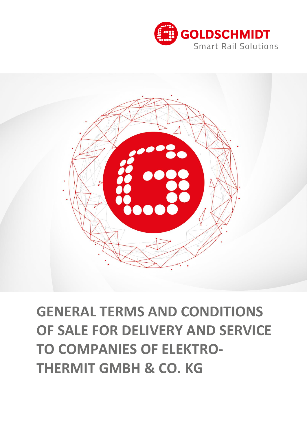

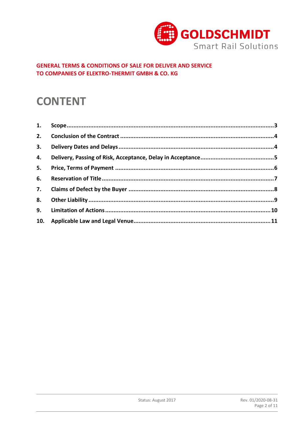

## **CONTENT**

| 2. |  |
|----|--|
| 3. |  |
| 4. |  |
| 5. |  |
| 6. |  |
| 7. |  |
| 8. |  |
| 9. |  |
|    |  |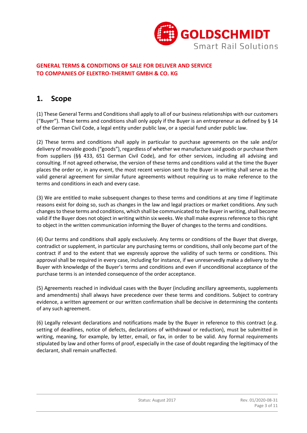

## **1. Scope**

(1) These General Terms and Conditions shall apply to all of our business relationships with our customers ("Buyer"). These terms and conditions shall only apply if the Buyer is an entrepreneur as defined by  $\S$  14 of the German Civil Code, a legal entity under public law, or a special fund under public law.

(2) These terms and conditions shall apply in particular to purchase agreements on the sale and/or delivery of movable goods ("goods"), regardless of whether we manufacture said goods or purchase them from suppliers (§§ 433, 651 German Civil Code), and for other services, including all advising and consulting. If not agreed otherwise, the version of these terms and conditions valid at the time the Buyer places the order or, in any event, the most recent version sent to the Buyer in writing shall serve as the valid general agreement for similar future agreements without requiring us to make reference to the terms and conditions in each and every case.

(3) We are entitled to make subsequent changes to these terms and conditions at any time if legitimate reasons exist for doing so, such as changes in the law and legal practices or market conditions. Any such changes to these terms and conditions, which shall be communicated to the Buyer in writing, shall become valid if the Buyer does not object in writing within six weeks. We shall make express reference to this right to object in the written communication informing the Buyer of changes to the terms and conditions.

(4) Our terms and conditions shall apply exclusively. Any terms or conditions of the Buyer that diverge, contradict or supplement, in particular any purchasing terms or conditions, shall only become part of the contract if and to the extent that we expressly approve the validity of such terms or conditions. This approval shall be required in every case, including for instance, if we unreservedly make a delivery to the Buyer with knowledge of the Buyer's terms and conditions and even if unconditional acceptance of the purchase terms is an intended consequence of the order acceptance.

(5) Agreements reached in individual cases with the Buyer (including ancillary agreements, supplements and amendments) shall always have precedence over these terms and conditions. Subject to contrary evidence, a written agreement or our written confirmation shall be decisive in determining the contents of any such agreement.

(6) Legally relevant declarations and notifications made by the Buyer in reference to this contract (e.g. setting of deadlines, notice of defects, declarations of withdrawal or reduction), must be submitted in writing, meaning, for example, by letter, email, or fax, in order to be valid. Any formal requirements stipulated by law and other forms of proof, especially in the case of doubt regarding the legitimacy of the declarant, shall remain unaffected.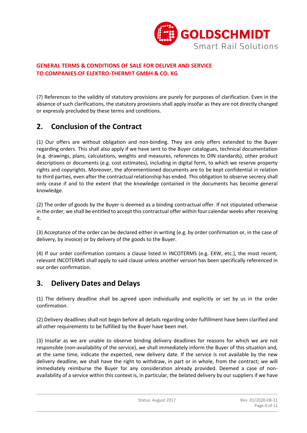

(7) References to the validity of statutory provisions are purely for purposes of clarification. Even in the absence of such clarifications, the statutory provisions shall apply insofar as they are not directly changed or expressly precluded by these terms and conditions.

## **2. Conclusion of the Contract**

(1) Our offers are without obligation and non-binding. They are only offers extended to the Buyer regarding orders. This shall also apply if we have sent to the Buyer catalogues, technical documentation (e.g. drawings, plans, calculations, weights and measures, references to DIN standards), other product descriptions or documents (e.g. cost estimates), including in digital form, to which we reserve property rights and copyrights. Moreover, the aforementioned documents are to be kept confidential in relation to third parties, even after the contractual relationship has ended. This obligation to observe secrecy shall only cease if and to the extent that the knowledge contained in the documents has become general knowledge.

(2) The order of goods by the Buyer is deemed as a binding contractual offer. If not stipulated otherwise in the order, we shall be entitled to accept this contractual offer within four calendar weeks after receiving it.

(3) Acceptance of the order can be declared either in writing (e.g. by order confirmation or, in the case of delivery, by invoice) or by delivery of the goods to the Buyer.

(4) If our order confirmation contains a clause listed in INCOTERMS (e.g. EXW, etc.), the most recent, relevant INCOTERMS shall apply to said clause unless another version has been specifically referenced in our order confirmation.

## **3. Delivery Dates and Delays**

(1) The delivery deadline shall be agreed upon individually and explicitly or set by us in the order confirmation.

(2) Delivery deadlines shall not begin before all details regarding order fulfillment have been clarified and all other requirements to be fulfilled by the Buyer have been met.

(3) Insofar as we are unable to observe binding delivery deadlines for reasons for which we are not responsible (non-availability of the service), we shall immediately inform the Buyer of this situation and, at the same time, indicate the expected, new delivery date. If the service is not available by the new delivery deadline, we shall have the right to withdraw, in part or in whole, from the contract; we will immediately reimburse the Buyer for any consideration already provided. Deemed a case of nonavailability of a service within this context is, in particular, the belated delivery by our suppliers if we have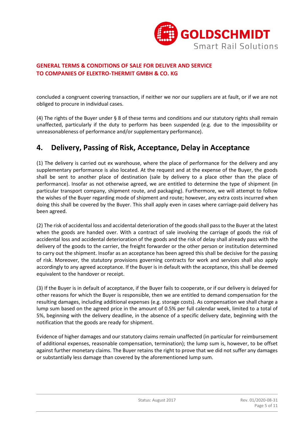

concluded a congruent covering transaction, if neither we nor our suppliers are at fault, or if we are not obliged to procure in individual cases.

(4) The rights of the Buyer under § 8 of these terms and conditions and our statutory rights shall remain unaffected, particularly if the duty to perform has been suspended (e.g. due to the impossibility or unreasonableness of performance and/or supplementary performance).

## **4. Delivery, Passing of Risk, Acceptance, Delay in Acceptance**

(1) The delivery is carried out ex warehouse, where the place of performance for the delivery and any supplementary performance is also located. At the request and at the expense of the Buyer, the goods shall be sent to another place of destination (sale by delivery to a place other than the place of performance). Insofar as not otherwise agreed, we are entitled to determine the type of shipment (in particular transport company, shipment route, and packaging). Furthermore, we will attempt to follow the wishes of the Buyer regarding mode of shipment and route; however, any extra costs incurred when doing this shall be covered by the Buyer. This shall apply even in cases where carriage-paid delivery has been agreed.

(2) The risk of accidental loss and accidental deterioration of the goods shall pass to the Buyer at the latest when the goods are handed over. With a contract of sale involving the carriage of goods the risk of accidental loss and accidental deterioration of the goods and the risk of delay shall already pass with the delivery of the goods to the carrier, the freight forwarder or the other person or institution determined to carry out the shipment. Insofar as an acceptance has been agreed this shall be decisive for the passing of risk. Moreover, the statutory provisions governing contracts for work and services shall also apply accordingly to any agreed acceptance. If the Buyer is in default with the acceptance, this shall be deemed equivalent to the handover or receipt.

(3) If the Buyer is in default of acceptance, if the Buyer fails to cooperate, or if our delivery is delayed for other reasons for which the Buyer is responsible, then we are entitled to demand compensation for the resulting damages, including additional expenses (e.g. storage costs). As compensation we shall charge a lump sum based on the agreed price in the amount of 0.5% per full calendar week, limited to a total of 5%, beginning with the delivery deadline, in the absence of a specific delivery date, beginning with the notification that the goods are ready for shipment.

Evidence of higher damages and our statutory claims remain unaffected (in particular for reimbursement of additional expenses, reasonable compensation, termination); the lump sum is, however, to be offset against further monetary claims. The Buyer retains the right to prove that we did not suffer any damages or substantially less damage than covered by the aforementioned lump sum.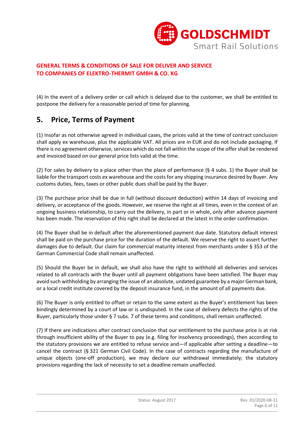

(4) In the event of a delivery order or call which is delayed due to the customer, we shall be entitled to postpone the delivery for a reasonable period of time for planning.

## **5. Price, Terms of Payment**

(1) Insofar as not otherwise agreed in individual cases, the prices valid at the time of contract conclusion shall apply ex warehouse, plus the applicable VAT. All prices are in EUR and do not include packaging. If there is no agreement otherwise, services which do not fall within the scope of the offer shall be rendered and invoiced based on our general price lists valid at the time.

(2) For sales by delivery to a place other than the place of performance (§ 4 subs. 1) the Buyer shall be liable for the transport costs ex warehouse and the costs for any shipping insurance desired by Buyer. Any customs duties, fees, taxes or other public dues shall be paid by the Buyer.

(3) The purchase price shall be due in full (without discount deduction) within 14 days of invoicing and delivery, or acceptance of the goods. However, we reserve the right at all times, even in the context of an ongoing business relationship, to carry out the delivery, in part or in whole, only after advance payment has been made. The reservation of this right shall be declared at the latest in the order confirmation.

(4) The Buyer shall be in default after the aforementioned payment due date. Statutory default interest shall be paid on the purchase price for the duration of the default. We reserve the right to assert further damages due to default. Our claim for commercial maturity interest from merchants under § 353 of the German Commercial Code shall remain unaffected.

(5) Should the Buyer be in default, we shall also have the right to withhold all deliveries and services related to all contracts with the Buyer until all payment obligations have been satisfied. The Buyer may avoid such withholding by arranging the issue of an absolute, undated guarantee by a major German bank, or a local credit institute covered by the deposit insurance fund, in the amount of all payments due.

(6) The Buyer is only entitled to offset or retain to the same extent as the Buyer's entitlement has been bindingly determined by a court of law or is undisputed. In the case of delivery defects the rights of the Buyer, particularly those under § 7 subs. 7 of these terms and conditions, shall remain unaffected.

(7) If there are indications after contract conclusion that our entitlement to the purchase price is at risk through insufficient ability of the Buyer to pay (e.g. filing for insolvency proceedings), then according to the statutory provisions we are entitled to refuse service and—if applicable after setting a deadline—to cancel the contract (§ 321 German Civil Code). In the case of contracts regarding the manufacture of unique objects (one-off production), we may declare our withdrawal immediately; the statutory provisions regarding the lack of necessity to set a deadline remain unaffected.

Status: August 2017 **Rev. 01/2020-08-31**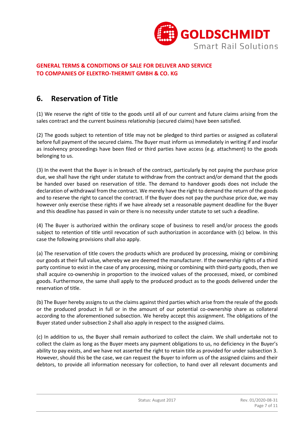

## **6. Reservation of Title**

(1) We reserve the right of title to the goods until all of our current and future claims arising from the sales contract and the current business relationship (secured claims) have been satisfied.

(2) The goods subject to retention of title may not be pledged to third parties or assigned as collateral before full payment of the secured claims. The Buyer must inform us immediately in writing if and insofar as insolvency proceedings have been filed or third parties have access (e.g. attachment) to the goods belonging to us.

(3) In the event that the Buyer is in breach of the contract, particularly by not paying the purchase price due, we shall have the right under statute to withdraw from the contract and/or demand that the goods be handed over based on reservation of title. The demand to handover goods does not include the declaration of withdrawal from the contract. We merely have the right to demand the return of the goods and to reserve the right to cancel the contract. If the Buyer does not pay the purchase price due, we may however only exercise these rights if we have already set a reasonable payment deadline for the Buyer and this deadline has passed in vain or there is no necessity under statute to set such a deadline.

(4) The Buyer is authorized within the ordinary scope of business to resell and/or process the goods subject to retention of title until revocation of such authorization in accordance with (c) below. In this case the following provisions shall also apply.

(a) The reservation of title covers the products which are produced by processing, mixing or combining our goods at their full value, whereby we are deemed the manufacturer. If the ownership rights of a third party continue to exist in the case of any processing, mixing or combining with third-party goods, then we shall acquire co-ownership in proportion to the invoiced values of the processed, mixed, or combined goods. Furthermore, the same shall apply to the produced product as to the goods delivered under the reservation of title.

(b) The Buyer hereby assigns to us the claims against third parties which arise from the resale of the goods or the produced product in full or in the amount of our potential co-ownership share as collateral according to the aforementioned subsection. We hereby accept this assignment. The obligations of the Buyer stated under subsection 2 shall also apply in respect to the assigned claims.

(c) In addition to us, the Buyer shall remain authorized to collect the claim. We shall undertake not to collect the claim as long as the Buyer meets any payment obligations to us, no deficiency in the Buyer's ability to pay exists, and we have not asserted the right to retain title as provided for under subsection 3. However, should this be the case, we can request the Buyer to inform us of the assigned claims and their debtors, to provide all information necessary for collection, to hand over all relevant documents and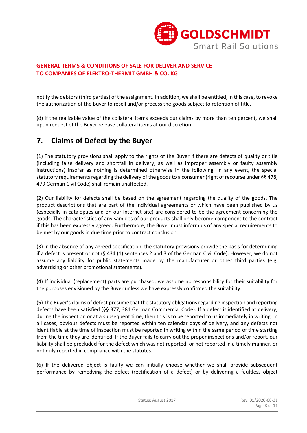

notify the debtors (third parties) of the assignment. In addition, we shall be entitled, in this case, to revoke the authorization of the Buyer to resell and/or process the goods subject to retention of title.

(d) If the realizable value of the collateral items exceeds our claims by more than ten percent, we shall upon request of the Buyer release collateral items at our discretion.

## **7. Claims of Defect by the Buyer**

(1) The statutory provisions shall apply to the rights of the Buyer if there are defects of quality or title (including false delivery and shortfall in delivery, as well as improper assembly or faulty assembly instructions) insofar as nothing is determined otherwise in the following. In any event, the special statutory requirements regarding the delivery of the goods to a consumer (right of recourse under §§ 478, 479 German Civil Code) shall remain unaffected.

(2) Our liability for defects shall be based on the agreement regarding the quality of the goods. The product descriptions that are part of the individual agreements or which have been published by us (especially in catalogues and on our Internet site) are considered to be the agreement concerning the goods. The characteristics of any samples of our products shall only become component to the contract if this has been expressly agreed. Furthermore, the Buyer must inform us of any special requirements to be met by our goods in due time prior to contract conclusion.

(3) In the absence of any agreed specification, the statutory provisions provide the basis for determining if a defect is present or not (§ 434 (1) sentences 2 and 3 of the German Civil Code). However, we do not assume any liability for public statements made by the manufacturer or other third parties (e.g. advertising or other promotional statements).

(4) If individual (replacement) parts are purchased, we assume no responsibility for their suitability for the purposes envisioned by the Buyer unless we have expressly confirmed the suitability.

(5) The Buyer's claims of defect presume that the statutory obligations regarding inspection and reporting defects have been satisfied (§§ 377, 381 German Commercial Code). If a defect is identified at delivery, during the inspection or at a subsequent time, then this is to be reported to us immediately in writing. In all cases, obvious defects must be reported within ten calendar days of delivery, and any defects not identifiable at the time of inspection must be reported in writing within the same period of time starting from the time they are identified. If the Buyer fails to carry out the proper inspections and/or report, our liability shall be precluded for the defect which was not reported, or not reported in a timely manner, or not duly reported in compliance with the statutes.

(6) If the delivered object is faulty we can initially choose whether we shall provide subsequent performance by remedying the defect (rectification of a defect) or by delivering a faultless object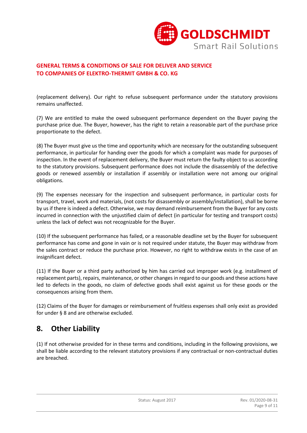

(replacement delivery). Our right to refuse subsequent performance under the statutory provisions remains unaffected.

(7) We are entitled to make the owed subsequent performance dependent on the Buyer paying the purchase price due. The Buyer, however, has the right to retain a reasonable part of the purchase price proportionate to the defect.

(8) The Buyer must give us the time and opportunity which are necessary for the outstanding subsequent performance, in particular for handing over the goods for which a complaint was made for purposes of inspection. In the event of replacement delivery, the Buyer must return the faulty object to us according to the statutory provisions. Subsequent performance does not include the disassembly of the defective goods or renewed assembly or installation if assembly or installation were not among our original obligations.

(9) The expenses necessary for the inspection and subsequent performance, in particular costs for transport, travel, work and materials, (not costs for disassembly or assembly/installation), shall be borne by us if there is indeed a defect. Otherwise, we may demand reimbursement from the Buyer for any costs incurred in connection with the unjustified claim of defect (in particular for testing and transport costs) unless the lack of defect was not recognizable for the Buyer.

(10) If the subsequent performance has failed, or a reasonable deadline set by the Buyer for subsequent performance has come and gone in vain or is not required under statute, the Buyer may withdraw from the sales contract or reduce the purchase price. However, no right to withdraw exists in the case of an insignificant defect.

(11) If the Buyer or a third party authorized by him has carried out improper work (e.g. installment of replacement parts), repairs, maintenance, or other changes in regard to our goods and these actions have led to defects in the goods, no claim of defective goods shall exist against us for these goods or the consequences arising from them.

(12) Claims of the Buyer for damages or reimbursement of fruitless expenses shall only exist as provided for under § 8 and are otherwise excluded.

## **8. Other Liability**

(1) If not otherwise provided for in these terms and conditions, including in the following provisions, we shall be liable according to the relevant statutory provisions if any contractual or non-contractual duties are breached.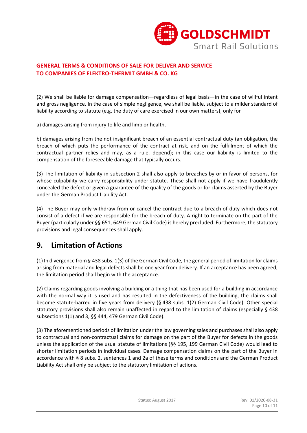

(2) We shall be liable for damage compensation—regardless of legal basis—in the case of willful intent and gross negligence. In the case of simple negligence, we shall be liable, subject to a milder standard of liability according to statute (e.g. the duty of care exercised in our own matters), only for

a) damages arising from injury to life and limb or health,

b) damages arising from the not insignificant breach of an essential contractual duty (an obligation, the breach of which puts the performance of the contract at risk, and on the fulfillment of which the contractual partner relies and may, as a rule, depend); in this case our liability is limited to the compensation of the foreseeable damage that typically occurs.

(3) The limitation of liability in subsection 2 shall also apply to breaches by or in favor of persons, for whose culpability we carry responsibility under statute. These shall not apply if we have fraudulently concealed the defect or given a guarantee of the quality of the goods or for claims asserted by the Buyer under the German Product Liability Act.

(4) The Buyer may only withdraw from or cancel the contract due to a breach of duty which does not consist of a defect if we are responsible for the breach of duty. A right to terminate on the part of the Buyer (particularly under §§ 651, 649 German Civil Code) is hereby precluded. Furthermore, the statutory provisions and legal consequences shall apply.

## **9. Limitation of Actions**

(1) In divergence from § 438 subs. 1(3) of the German Civil Code, the general period of limitation for claims arising from material and legal defects shall be one year from delivery. If an acceptance has been agreed, the limitation period shall begin with the acceptance.

(2) Claims regarding goods involving a building or a thing that has been used for a building in accordance with the normal way it is used and has resulted in the defectiveness of the building, the claims shall become statute-barred in five years from delivery (§ 438 subs. 1(2) German Civil Code). Other special statutory provisions shall also remain unaffected in regard to the limitation of claims (especially § 438 subsections 1(1) and 3, §§ 444, 479 German Civil Code).

(3) The aforementioned periods of limitation under the law governing sales and purchases shall also apply to contractual and non-contractual claims for damage on the part of the Buyer for defects in the goods unless the application of the usual statute of limitations (§§ 195, 199 German Civil Code) would lead to shorter limitation periods in individual cases. Damage compensation claims on the part of the Buyer in accordance with § 8 subs. 2, sentences 1 and 2a of these terms and conditions and the German Product Liability Act shall only be subject to the statutory limitation of actions.